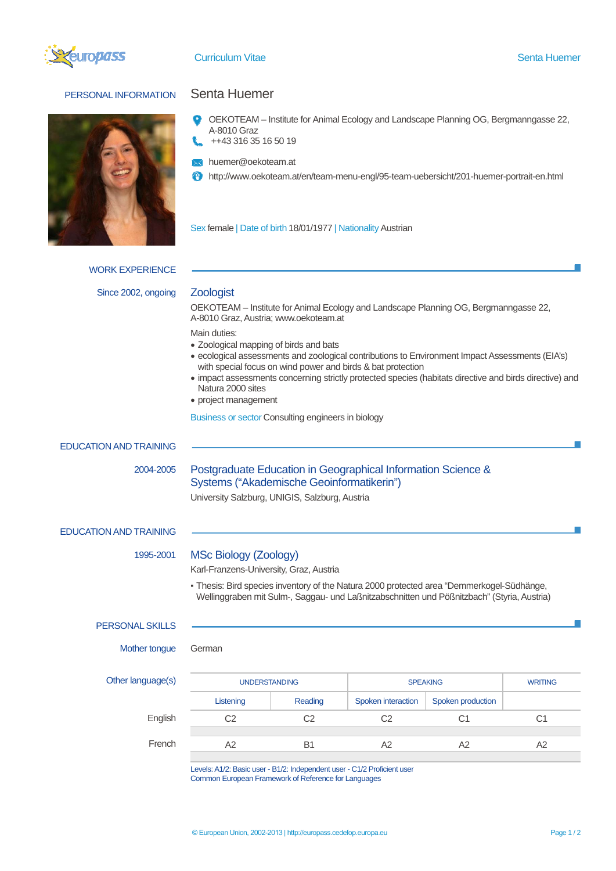

# PERSONAL INFORMATION Senta Huemer



- OEKOTEAM Institute for Animal Ecology and Landscape Planning OG, Bergmanngasse 22, A-8010 Graz ++43 316 35 16 50 19
- huemer@oekoteam.at
- http://www.oekoteam.at/en/team-menu-engl/95-team-uebersicht/201-huemer-portrait-en.html

Sex female | Date of birth 18/01/1977 | Nationality Austrian

WORK EXPERIENCE Since 2002, ongoing **Zoologist** 

OEKOTEAM – Institute for Animal Ecology and Landscape Planning OG, Bergmanngasse 22, A-8010 Graz, Austria; www.oekoteam.at

Main duties:

- Zoological mapping of birds and bats
- ecological assessments and zoological contributions to Environment Impact Assessments (EIA's) with special focus on wind power and birds & bat protection
- impact assessments concerning strictly protected species (habitats directive and birds directive) and Natura 2000 sites
- project management

Business or sector Consulting engineers in biology

## EDUCATION AND TRAINING

# 2004-2005 Postgraduate Education in Geographical Information Science & Systems ("Akademische Geoinformatikerin")

University Salzburg, UNIGIS, Salzburg, Austria

## EDUCATION AND TRAINING

## 1995-2001 MSc Biology (Zoology)

Karl-Franzens-University, Graz, Austria

▪ Thesis: Bird species inventory of the Natura 2000 protected area "Demmerkogel-Südhänge, Wellinggraben mit Sulm-, Saggau- und Laßnitzabschnitten und Pößnitzbach" (Styria, Austria)

### PERSONAL SKILLS

Mother tongue German

|  | Other language(s) |  |
|--|-------------------|--|
|--|-------------------|--|

| Other language(s) | <b>UNDERSTANDING</b> |         | <b>SPEAKING</b>    |                   | <b>WRITING</b> |
|-------------------|----------------------|---------|--------------------|-------------------|----------------|
|                   | Listening            | Reading | Spoken interaction | Spoken production |                |
| English           | C2                   | C2      | C2                 | C1                | C1             |
|                   |                      |         |                    |                   |                |
| French            | А2                   | B       | A2                 | A2                | A2             |

Levels: A1/2: Basic user - B1/2: Independent user - C1/2 Proficient user Common European Framework of Reference for Languages